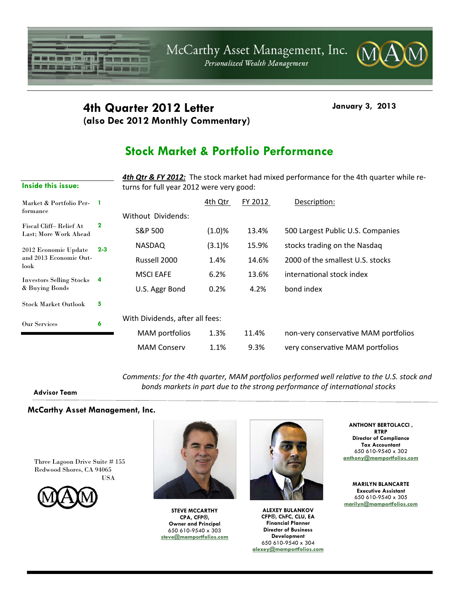

### **4th Quarter 2012 Letter January 3, 2013 (also Dec 2012 Monthly Commentary)**

# **Stock Market & Portfolio Performance**

*4th Qtr & FY 2012:* The stock market had mixed performance for the 4th quarter while re‐ turns for full year 2012 were very good:

| Market & Portfolio Per-<br>formance                    |             |                                 | 4th Qtr | FY 2012 | Description:                         |
|--------------------------------------------------------|-------------|---------------------------------|---------|---------|--------------------------------------|
|                                                        |             | Without Dividends:              |         |         |                                      |
| Fiscal Cliff-Relief At<br>Last: More Work Ahead        | $\mathbf 2$ | S&P 500                         | (1.0)%  | 13.4%   | 500 Largest Public U.S. Companies    |
| 2012 Economic Update<br>and 2013 Economic Out-<br>look | $2 - 3$     | <b>NASDAQ</b>                   | (3.1)%  | 15.9%   | stocks trading on the Nasdaq         |
|                                                        |             | Russell 2000                    | 1.4%    | 14.6%   | 2000 of the smallest U.S. stocks     |
| <b>Investors Selling Stocks</b><br>& Buying Bonds      | 4           | <b>MSCI EAFE</b>                | 6.2%    | 13.6%   | international stock index            |
|                                                        |             | U.S. Aggr Bond                  | 0.2%    | 4.2%    | bond index                           |
| <b>Stock Market Outlook</b>                            | 5           |                                 |         |         |                                      |
| <b>Our Services</b>                                    | 6           | With Dividends, after all fees: |         |         |                                      |
|                                                        |             | MAM portfolios                  | 1.3%    | 11.4%   | non-very conservative MAM portfolios |
|                                                        |             | <b>MAM Conserv</b>              | 1.1%    | 9.3%    | very conservative MAM portfolios     |

*Comments: for the 4th quarter, MAM porƞolios performed well relaƟve to the U.S. stock and bonds markets in part due to the strong performance of internaƟonal stocks*

#### **Advisor Team**

**Inside this issue:** 

#### **McCarthy Asset Management, Inc.**

Three Lagoon Drive Suite # 155 Redwood Shores, CA 94065 USA





**STEVE MCCARTHY CPA, CFP®, Owner and Principal**  650 610-9540 x 303 **steve@mamportfolios.com**



**ALEXEY BULANKOV CFP®, ChFC, CLU, EA Financial Planner Director of Business Development**  650 610-9540 x 304 **alexey@mamportfolios.com**

**ANTHONY BERTOLACCI , RTRP Director of Compliance Tax Accountant**  650 610-9540 x 302 **anthony@mamportfolios.com**

**MARILYN BLANCARTE Executive Assistant**  650 610-9540 x 305 **marilyn@mamportfolios.com**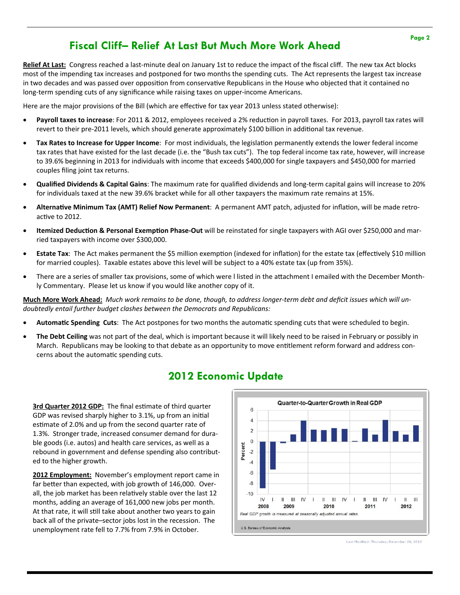## **Fiscal Cliff– Relief At Last But Much More Work Ahead**

**Relief At Last:** Congress reached a last‐minute deal on January 1st to reduce the impact of the fiscal cliff. The new tax Act blocks most of the impending tax increases and postponed for two months the spending cuts. The Act represents the largest tax increase in two decades and was passed over opposition from conservative Republicans in the House who objected that it contained no long‐term spending cuts of any significance while raising taxes on upper‐income Americans.

Here are the major provisions of the Bill (which are effective for tax year 2013 unless stated otherwise):

- Payroll taxes to increase: For 2011 & 2012, employees received a 2% reduction in payroll taxes. For 2013, payroll tax rates will revert to their pre-2011 levels, which should generate approximately \$100 billion in additional tax revenue.
- **Tax Rates to Increase for Upper Income:** For most individuals, the legislation permanently extends the lower federal income tax rates that have existed for the last decade (i.e. the "Bush tax cuts"). The top federal income tax rate, however, will increase to 39.6% beginning in 2013 for individuals with income that exceeds \$400,000 for single taxpayers and \$450,000 for married couples filing joint tax returns.
- **Qualified Dividends & Capital Gains**: The maximum rate for qualified dividends and long‐term capital gains will increase to 20% for individuals taxed at the new 39.6% bracket while for all other taxpayers the maximum rate remains at 15%.
- **AlternaƟve Minimum Tax (AMT) Relief Now Permanent**: A permanent AMT patch, adjusted for inflaƟon, will be made retro‐ active to 2012.
- **Itemized Deduction & Personal Exemption Phase-Out will be reinstated for single taxpayers with AGI over \$250,000 and mar**ried taxpayers with income over \$300,000.
- **Estate Tax:** The Act makes permanent the \$5 million exemption (indexed for inflation) for the estate tax (effectively \$10 million for married couples). Taxable estates above this level will be subject to a 40% estate tax (up from 35%).
- There are a series of smaller tax provisions, some of which were I listed in the attachment I emailed with the December Monthly Commentary. Please let us know if you would like another copy of it.

Much More Work Ahead: Much work remains to be done, though, to address longer-term debt and deficit issues which will un*doubtedly entail further budget clashes between the Democrats and Republicans:*

- Automatic Spending Cuts: The Act postpones for two months the automatic spending cuts that were scheduled to begin.
- **The Debt Ceiling** was not part of the deal, which is important because it will likely need to be raised in February or possibly in March. Republicans may be looking to that debate as an opportunity to move entitlement reform forward and address concerns about the automatic spending cuts.

## **2012 Economic Update**

**3rd Quarter 2012 GDP:** The final estimate of third quarter GDP was revised sharply higher to 3.1%, up from an initial estimate of 2.0% and up from the second quarter rate of 1.3%. Stronger trade, increased consumer demand for dura‐ ble goods (i.e. autos) and health care services, as well as a rebound in government and defense spending also contribut‐ ed to the higher growth.

**2012 Employment:** November's employment report came in far better than expected, with job growth of 146,000. Overall, the job market has been relatively stable over the last 12 months, adding an average of 161,000 new jobs per month. At that rate, it will still take about another two years to gain back all of the private–sector jobs lost in the recession. The unemployment rate fell to 7.7% from 7.9% in October.



Last Modified: Thursday, December 20, 2012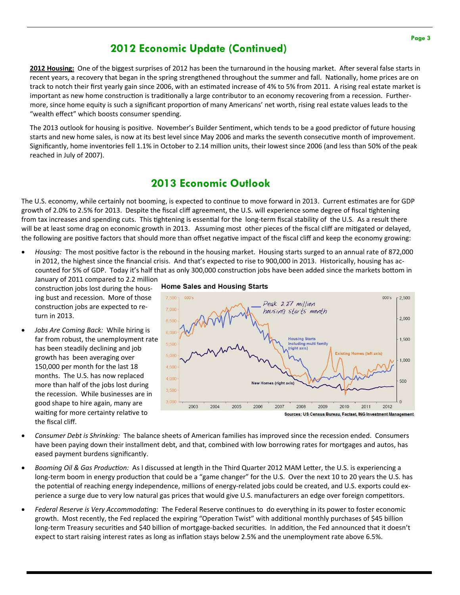### **2012 Economic Update (Continued)**

**2012 Housing:** One of the biggest surprises of 2012 has been the turnaround in the housing market. After several false starts in recent years, a recovery that began in the spring strengthened throughout the summer and fall. Nationally, home prices are on track to notch their first yearly gain since 2006, with an estimated increase of 4% to 5% from 2011. A rising real estate market is important as new home construction is traditionally a large contributor to an economy recovering from a recession. Furthermore, since home equity is such a significant proportion of many Americans' net worth, rising real estate values leads to the "wealth effect" which boosts consumer spending.

The 2013 outlook for housing is positive. November's Builder Sentiment, which tends to be a good predictor of future housing starts and new home sales, is now at its best level since May 2006 and marks the seventh consecutive month of improvement. Significantly, home inventories fell 1.1% in October to 2.14 million units, their lowest since 2006 (and less than 50% of the peak reached in July of 2007).

### **2013 Economic Outlook**

The U.S. economy, while certainly not booming, is expected to continue to move forward in 2013. Current estimates are for GDP growth of 2.0% to 2.5% for 2013. Despite the fiscal cliff agreement, the U.S. will experience some degree of fiscal tightening from tax increases and spending cuts. This tightening is essential for the long-term fiscal stability of the U.S. As a result there will be at least some drag on economic growth in 2013. Assuming most other pieces of the fiscal cliff are mitigated or delayed, the following are positive factors that should more than offset negative impact of the fiscal cliff and keep the economy growing:

- Housing: The most positive factor is the rebound in the housing market. Housing starts surged to an annual rate of 872,000 in 2012, the highest since the financial crisis. And that's expected to rise to 900,000 in 2013. Historically, housing has ac‐ counted for 5% of GDP. Today it's half that as only 300,000 construction jobs have been added since the markets bottom in
	- January of 2011 compared to 2.2 million construction jobs lost during the housing bust and recession. More of those construction jobs are expected to return in 2013.
- *Jobs Are Coming Back:* While hiring is far from robust, the unemployment rate has been steadily declining and job growth has been averaging over 150,000 per month for the last 18 months. The U.S. has now replaced more than half of the jobs lost during the recession. While businesses are in good shape to hire again, many are waiting for more certainty relative to the fiscal cliff.

#### **Home Sales and Housing Starts**



- *Consumer Debt is Shrinking:* The balance sheets of American families has improved since the recession ended. Consumers have been paying down their installment debt, and that, combined with low borrowing rates for mortgages and autos, has eased payment burdens significantly.
- *Booming Oil & Gas Production:* As I discussed at length in the Third Quarter 2012 MAM Letter, the U.S. is experiencing a long-term boom in energy production that could be a "game changer" for the U.S. Over the next 10 to 20 years the U.S. has the potential of reaching energy independence, millions of energy-related jobs could be created, and U.S. exports could experience a surge due to very low natural gas prices that would give U.S. manufacturers an edge over foreign competitors.
- *Federal Reserve is Very Accommodating:* The Federal Reserve continues to do everything in its power to foster economic growth. Most recently, the Fed replaced the expiring "Operation Twist" with additional monthly purchases of \$45 billion long-term Treasury securities and \$40 billion of mortgage-backed securities. In addition, the Fed announced that it doesn't expect to start raising interest rates as long as inflation stays below 2.5% and the unemployment rate above 6.5%.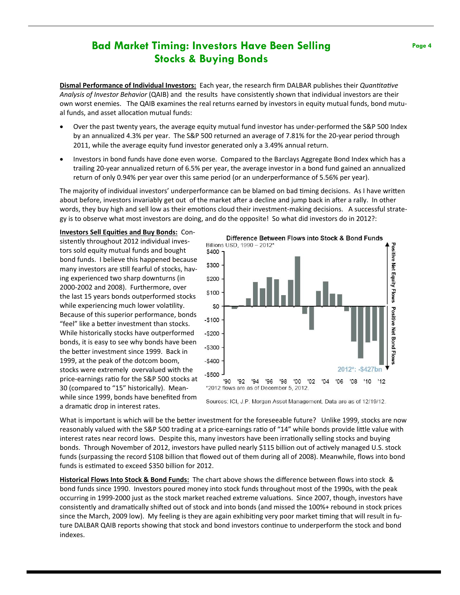### **Bad Market Timing: Investors Have Been Selling Stocks & Buying Bonds**

**Dismal Performance of Individual Investors:** Each year, the research firm DALBAR publishes their *Quantitative Analysis of Investor Behavior* (QAIB) and the results have consistently shown that individual investors are their own worst enemies. The QAIB examines the real returns earned by investors in equity mutual funds, bond mutual funds, and asset allocation mutual funds:

- Over the past twenty years, the average equity mutual fund investor has under‐performed the S&P 500 Index by an annualized 4.3% per year. The S&P 500 returned an average of 7.81% for the 20‐year period through 2011, while the average equity fund investor generated only a 3.49% annual return.
- Investors in bond funds have done even worse. Compared to the Barclays Aggregate Bond Index which has a trailing 20‐year annualized return of 6.5% per year, the average investor in a bond fund gained an annualized return of only 0.94% per year over this same period (or an underperformance of 5.56% per year).

The majority of individual investors' underperformance can be blamed on bad timing decisions. As I have written about before, investors invariably get out of the market after a decline and jump back in after a rally. In other words, they buy high and sell low as their emotions cloud their investment-making decisions. A successful strategy is to observe what most investors are doing, and do the opposite! So what did investors do in 2012?:

**Investors Sell EquiƟes and Buy Bonds:** Con‐ sistently throughout 2012 individual inves‐ tors sold equity mutual funds and bought bond funds. I believe this happened because many investors are still fearful of stocks, having experienced two sharp downturns (in 2000‐2002 and 2008). Furthermore, over the last 15 years bonds outperformed stocks while experiencing much lower volatility. Because of this superior performance, bonds "feel" like a better investment than stocks. While historically stocks have outperformed bonds, it is easy to see why bonds have been the better investment since 1999. Back in 1999, at the peak of the dotcom boom, stocks were extremely overvalued with the price-earnings ratio for the S&P 500 stocks at 30 (compared to "15" historically). Mean‐ while since 1999, bonds have benefited from a dramatic drop in interest rates.



Sources: ICI, J.P. Morgan Asset Management. Data are as of 12/19/12.

What is important is which will be the better investment for the foreseeable future? Unlike 1999, stocks are now reasonably valued with the S&P 500 trading at a price-earnings ratio of "14" while bonds provide little value with interest rates near record lows. Despite this, many investors have been irrationally selling stocks and buying bonds. Through November of 2012, investors have pulled nearly \$115 billion out of actively managed U.S. stock funds (surpassing the record \$108 billion that flowed out of them during all of 2008). Meanwhile, flows into bond funds is estimated to exceed \$350 billion for 2012.

**Historical Flows Into Stock & Bond Funds:** The chart above shows the difference between flows into stock & bond funds since 1990. Investors poured money into stock funds throughout most of the 1990s, with the peak occurring in 1999-2000 just as the stock market reached extreme valuations. Since 2007, though, investors have consistently and dramatically shifted out of stock and into bonds (and missed the 100%+ rebound in stock prices since the March, 2009 low). My feeling is they are again exhibiting very poor market timing that will result in future DALBAR QAIB reports showing that stock and bond investors continue to underperform the stock and bond indexes.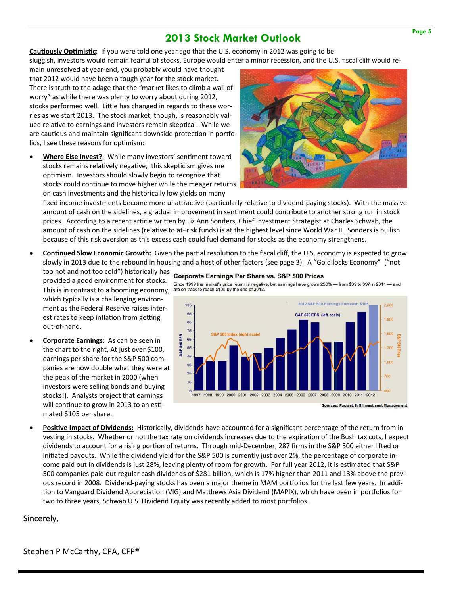### **2013 Stock Market Outlook**

**Cautiously Optimistic:** If you were told one year ago that the U.S. economy in 2012 was going to be sluggish, investors would remain fearful of stocks, Europe would enter a minor recession, and the U.S. fiscal cliff would re-

main unresolved at year‐end, you probably would have thought that 2012 would have been a tough year for the stock market. There is truth to the adage that the "market likes to climb a wall of worry" as while there was plenty to worry about during 2012, stocks performed well. Little has changed in regards to these worries as we start 2013. The stock market, though, is reasonably val‐ ued relative to earnings and investors remain skeptical. While we are cautious and maintain significant downside protection in portfolios, I see these reasons for optimism:

**Where Else Invest?**: While many investors' sentiment toward stocks remains relatively negative, this skepticism gives me optimism. Investors should slowly begin to recognize that stocks could continue to move higher while the meager returns on cash investments and the historically low yields on many



fixed income investments become more unattractive (particularly relative to dividend-paying stocks). With the massive amount of cash on the sidelines, a gradual improvement in sentiment could contribute to another strong run in stock prices. According to a recent article written by Liz Ann Sonders, Chief Investment Strategist at Charles Schwab, the amount of cash on the sidelines (relative to at–risk funds) is at the highest level since World War II. Sonders is bullish because of this risk aversion as this excess cash could fuel demand for stocks as the economy strengthens.

- **Continued Slow Economic Growth:** Given the partial resolution to the fiscal cliff, the U.S. economy is expected to grow slowly in 2013 due to the rebound in housing and a host of other factors (see page 3). A "Goldilocks Economy" ("not
	- too hot and not too cold") historically has corporate Earnings Per Share vs. S&P 500 Prices provided a good environment for stocks. This is in contrast to a booming economy, are on track to reach \$105 by the end of 2012. which typically is a challenging environment as the Federal Reserve raises inter‐ est rates to keep inflation from getting out‐of‐hand.
- **Corporate Earnings:** As can be seen in the chart to the right, At just over \$100, earnings per share for the S&P 500 com‐ panies are now double what they were at the peak of the market in 2000 (when investors were selling bonds and buying stocks!). Analysts project that earnings will continue to grow in 2013 to an estimated \$105 per share.



Since 1999 the market's price return is negative, but earnings have grown 250% - from \$39 to \$97 in 2011 - and

**Sources: Factset, ING Investment Management** 

**Positive Impact of Dividends:** Historically, dividends have accounted for a significant percentage of the return from investing in stocks. Whether or not the tax rate on dividends increases due to the expiration of the Bush tax cuts, I expect dividends to account for a rising portion of returns. Through mid-December, 287 firms in the S&P 500 either lifted or initiated payouts. While the dividend yield for the S&P 500 is currently just over 2%, the percentage of corporate income paid out in dividends is just 28%, leaving plenty of room for growth. For full year 2012, it is estimated that S&P 500 companies paid out regular cash dividends of \$281 billion, which is 17% higher than 2011 and 13% above the previous record in 2008. Dividend-paying stocks has been a major theme in MAM portfolios for the last few years. In addition to Vanguard Dividend Appreciation (VIG) and Matthews Asia Dividend (MAPIX), which have been in portfolios for two to three years, Schwab U.S. Dividend Equity was recently added to most portfolios.

Sincerely,